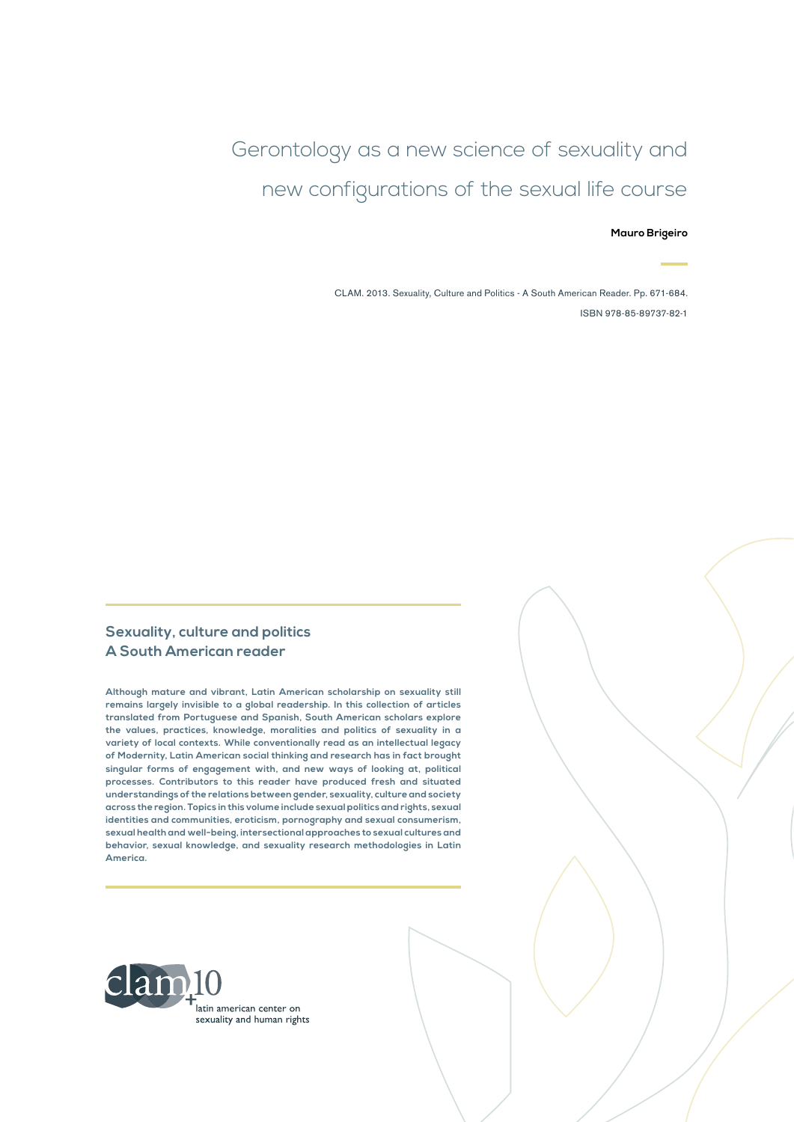Gerontology as a new science of sexuality and new configurations of the sexual life course

**Mauro Brigeiro**

CLAM. 2013. Sexuality, Culture and Politics - A South American Reader. Pp. 671-684. ISBN 978-85-89737-82-1

#### **Sexuality, culture and politics A South American reader**

**Although mature and vibrant, Latin American scholarship on sexuality still remains largely invisible to a global readership. In this collection of articles translated from Portuguese and Spanish, South American scholars explore the values, practices, knowledge, moralities and politics of sexuality in a variety of local contexts. While conventionally read as an intellectual legacy of Modernity, Latin American social thinking and research has in fact brought singular forms of engagement with, and new ways of looking at, political processes. Contributors to this reader have produced fresh and situated understandings of the relations between gender, sexuality, culture and society across the region. Topics in this volume include sexual politics and rights, sexual identities and communities, eroticism, pornography and sexual consumerism, sexual health and well-being, intersectional approaches to sexual cultures and behavior, sexual knowledge, and sexuality research methodologies in Latin America.**

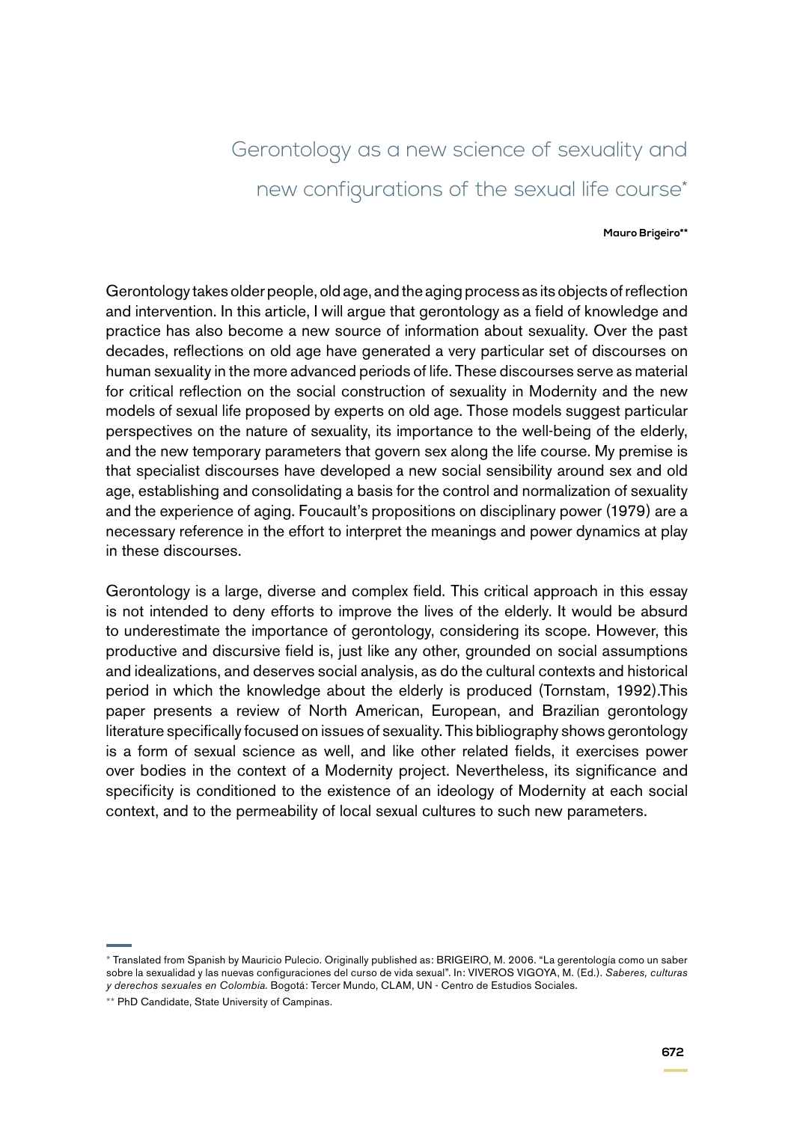# Gerontology as a new science of sexuality and new configurations of the sexual life course\*

#### **Mauro Brigeiro\*\***

Gerontology takes older people, old age, and the aging process as its objects of reflection and intervention. In this article, I will argue that gerontology as a field of knowledge and practice has also become a new source of information about sexuality. Over the past decades, reflections on old age have generated a very particular set of discourses on human sexuality in the more advanced periods of life. These discourses serve as material for critical reflection on the social construction of sexuality in Modernity and the new models of sexual life proposed by experts on old age. Those models suggest particular perspectives on the nature of sexuality, its importance to the well-being of the elderly, and the new temporary parameters that govern sex along the life course. My premise is that specialist discourses have developed a new social sensibility around sex and old age, establishing and consolidating a basis for the control and normalization of sexuality and the experience of aging. Foucault's propositions on disciplinary power (1979) are a necessary reference in the effort to interpret the meanings and power dynamics at play in these discourses.

Gerontology is a large, diverse and complex field. This critical approach in this essay is not intended to deny efforts to improve the lives of the elderly. It would be absurd to underestimate the importance of gerontology, considering its scope. However, this productive and discursive field is, just like any other, grounded on social assumptions and idealizations, and deserves social analysis, as do the cultural contexts and historical period in which the knowledge about the elderly is produced (Tornstam, 1992).This paper presents a review of North American, European, and Brazilian gerontology literature specifically focused on issues of sexuality. This bibliography shows gerontology is a form of sexual science as well, and like other related fields, it exercises power over bodies in the context of a Modernity project. Nevertheless, its significance and specificity is conditioned to the existence of an ideology of Modernity at each social context, and to the permeability of local sexual cultures to such new parameters.

<sup>\*</sup> Translated from Spanish by Mauricio Pulecio. Originally published as: BRIGEIRO, M. 2006. "La gerentología como un saber sobre la sexualidad y las nuevas configuraciones del curso de vida sexual". In: VIVEROS VIGOYA, M. (Ed.). *Saberes, culturas y derechos sexuales en Colombia*. Bogotá: Tercer Mundo, CLAM, UN - Centro de Estudios Sociales.

<sup>\*\*</sup> PhD Candidate, State University of Campinas.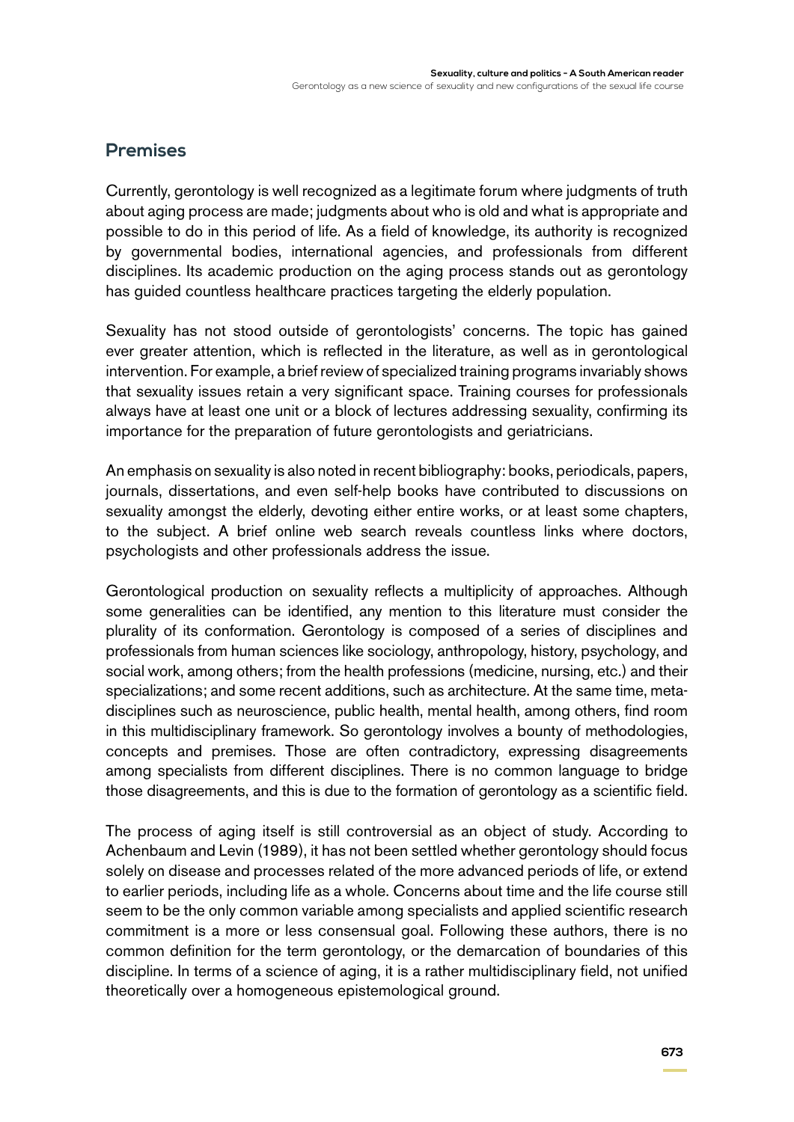### **Premises**

Currently, gerontology is well recognized as a legitimate forum where judgments of truth about aging process are made; judgments about who is old and what is appropriate and possible to do in this period of life. As a field of knowledge, its authority is recognized by governmental bodies, international agencies, and professionals from different disciplines. Its academic production on the aging process stands out as gerontology has guided countless healthcare practices targeting the elderly population.

Sexuality has not stood outside of gerontologists' concerns. The topic has gained ever greater attention, which is reflected in the literature, as well as in gerontological intervention. For example, a brief review of specialized training programs invariably shows that sexuality issues retain a very significant space. Training courses for professionals always have at least one unit or a block of lectures addressing sexuality, confirming its importance for the preparation of future gerontologists and geriatricians.

An emphasis on sexuality is also noted in recent bibliography: books, periodicals, papers, journals, dissertations, and even self-help books have contributed to discussions on sexuality amongst the elderly, devoting either entire works, or at least some chapters, to the subject. A brief online web search reveals countless links where doctors, psychologists and other professionals address the issue.

Gerontological production on sexuality reflects a multiplicity of approaches. Although some generalities can be identified, any mention to this literature must consider the plurality of its conformation. Gerontology is composed of a series of disciplines and professionals from human sciences like sociology, anthropology, history, psychology, and social work, among others; from the health professions (medicine, nursing, etc.) and their specializations; and some recent additions, such as architecture. At the same time, metadisciplines such as neuroscience, public health, mental health, among others, find room in this multidisciplinary framework. So gerontology involves a bounty of methodologies, concepts and premises. Those are often contradictory, expressing disagreements among specialists from different disciplines. There is no common language to bridge those disagreements, and this is due to the formation of gerontology as a scientific field.

The process of aging itself is still controversial as an object of study. According to Achenbaum and Levin (1989), it has not been settled whether gerontology should focus solely on disease and processes related of the more advanced periods of life, or extend to earlier periods, including life as a whole. Concerns about time and the life course still seem to be the only common variable among specialists and applied scientific research commitment is a more or less consensual goal. Following these authors, there is no common definition for the term gerontology, or the demarcation of boundaries of this discipline. In terms of a science of aging, it is a rather multidisciplinary field, not unified theoretically over a homogeneous epistemological ground.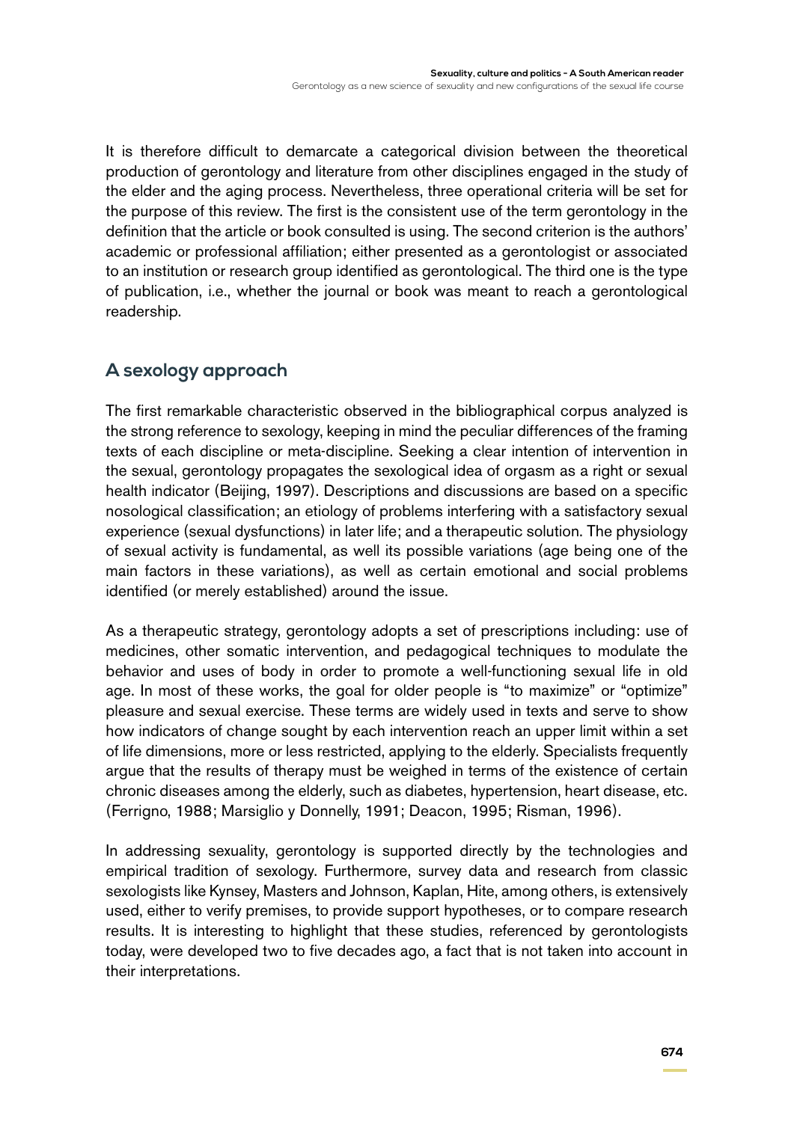It is therefore difficult to demarcate a categorical division between the theoretical production of gerontology and literature from other disciplines engaged in the study of the elder and the aging process. Nevertheless, three operational criteria will be set for the purpose of this review. The first is the consistent use of the term gerontology in the definition that the article or book consulted is using. The second criterion is the authors' academic or professional affiliation; either presented as a gerontologist or associated to an institution or research group identified as gerontological. The third one is the type of publication, i.e., whether the journal or book was meant to reach a gerontological readership.

# **A sexology approach**

The first remarkable characteristic observed in the bibliographical corpus analyzed is the strong reference to sexology, keeping in mind the peculiar differences of the framing texts of each discipline or meta-discipline. Seeking a clear intention of intervention in the sexual, gerontology propagates the sexological idea of orgasm as a right or sexual health indicator (Beijing, 1997). Descriptions and discussions are based on a specific nosological classification; an etiology of problems interfering with a satisfactory sexual experience (sexual dysfunctions) in later life; and a therapeutic solution. The physiology of sexual activity is fundamental, as well its possible variations (age being one of the main factors in these variations), as well as certain emotional and social problems identified (or merely established) around the issue.

As a therapeutic strategy, gerontology adopts a set of prescriptions including: use of medicines, other somatic intervention, and pedagogical techniques to modulate the behavior and uses of body in order to promote a well-functioning sexual life in old age. In most of these works, the goal for older people is "to maximize" or "optimize" pleasure and sexual exercise. These terms are widely used in texts and serve to show how indicators of change sought by each intervention reach an upper limit within a set of life dimensions, more or less restricted, applying to the elderly. Specialists frequently argue that the results of therapy must be weighed in terms of the existence of certain chronic diseases among the elderly, such as diabetes, hypertension, heart disease, etc. (Ferrigno, 1988; Marsiglio y Donnelly, 1991; Deacon, 1995; Risman, 1996).

In addressing sexuality, gerontology is supported directly by the technologies and empirical tradition of sexology. Furthermore, survey data and research from classic sexologists like Kynsey, Masters and Johnson, Kaplan, Hite, among others, is extensively used, either to verify premises, to provide support hypotheses, or to compare research results. It is interesting to highlight that these studies, referenced by gerontologists today, were developed two to five decades ago, a fact that is not taken into account in their interpretations.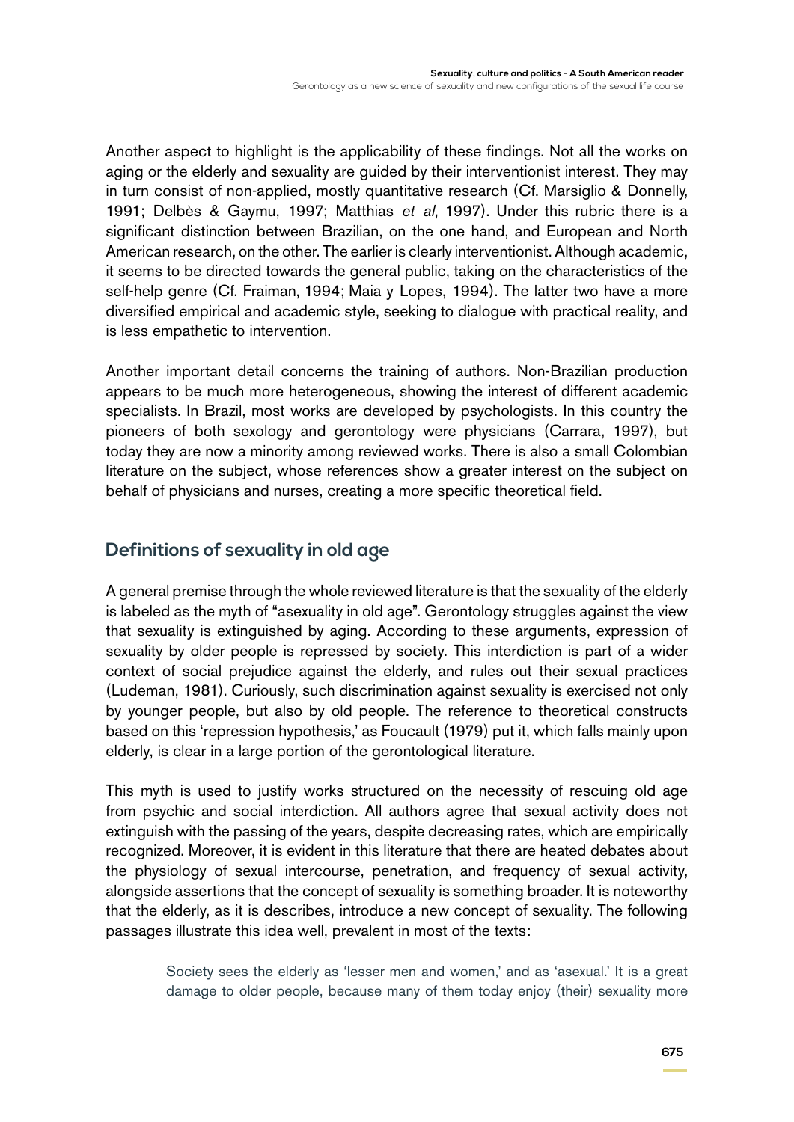Another aspect to highlight is the applicability of these findings. Not all the works on aging or the elderly and sexuality are guided by their interventionist interest. They may in turn consist of non-applied, mostly quantitative research (Cf. Marsiglio & Donnelly, 1991; Delbès & Gaymu, 1997; Matthias *et al*, 1997). Under this rubric there is a significant distinction between Brazilian, on the one hand, and European and North American research, on the other. The earlier is clearly interventionist. Although academic, it seems to be directed towards the general public, taking on the characteristics of the self-help genre (Cf. Fraiman, 1994; Maia y Lopes, 1994). The latter two have a more diversified empirical and academic style, seeking to dialogue with practical reality, and is less empathetic to intervention.

Another important detail concerns the training of authors. Non-Brazilian production appears to be much more heterogeneous, showing the interest of different academic specialists. In Brazil, most works are developed by psychologists. In this country the pioneers of both sexology and gerontology were physicians (Carrara, 1997), but today they are now a minority among reviewed works. There is also a small Colombian literature on the subject, whose references show a greater interest on the subject on behalf of physicians and nurses, creating a more specific theoretical field.

### **Definitions of sexuality in old age**

A general premise through the whole reviewed literature is that the sexuality of the elderly is labeled as the myth of "asexuality in old age". Gerontology struggles against the view that sexuality is extinguished by aging. According to these arguments, expression of sexuality by older people is repressed by society. This interdiction is part of a wider context of social prejudice against the elderly, and rules out their sexual practices (Ludeman, 1981). Curiously, such discrimination against sexuality is exercised not only by younger people, but also by old people. The reference to theoretical constructs based on this 'repression hypothesis,' as Foucault (1979) put it, which falls mainly upon elderly, is clear in a large portion of the gerontological literature.

This myth is used to justify works structured on the necessity of rescuing old age from psychic and social interdiction. All authors agree that sexual activity does not extinguish with the passing of the years, despite decreasing rates, which are empirically recognized. Moreover, it is evident in this literature that there are heated debates about the physiology of sexual intercourse, penetration, and frequency of sexual activity, alongside assertions that the concept of sexuality is something broader. It is noteworthy that the elderly, as it is describes, introduce a new concept of sexuality. The following passages illustrate this idea well, prevalent in most of the texts:

> Society sees the elderly as 'lesser men and women,' and as 'asexual.' It is a great damage to older people, because many of them today enjoy (their) sexuality more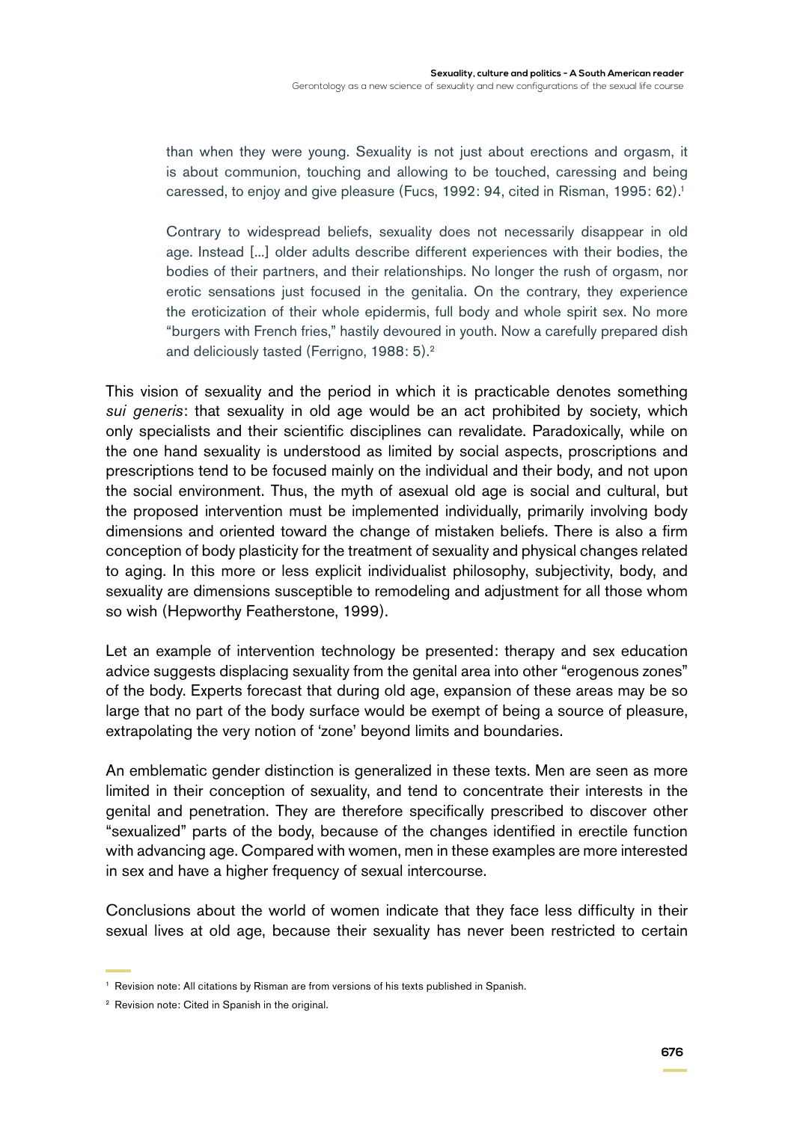than when they were young. Sexuality is not just about erections and orgasm, it is about communion, touching and allowing to be touched, caressing and being caressed, to enjoy and give pleasure (Fucs, 1992: 94, cited in Risman, 1995: 62).<sup>1</sup>

Contrary to widespread beliefs, sexuality does not necessarily disappear in old age. Instead [...] older adults describe different experiences with their bodies, the bodies of their partners, and their relationships. No longer the rush of orgasm, nor erotic sensations just focused in the genitalia. On the contrary, they experience the eroticization of their whole epidermis, full body and whole spirit sex. No more "burgers with French fries," hastily devoured in youth. Now a carefully prepared dish and deliciously tasted (Ferrigno, 1988: 5).<sup>2</sup>

This vision of sexuality and the period in which it is practicable denotes something *sui generis*: that sexuality in old age would be an act prohibited by society, which only specialists and their scientific disciplines can revalidate. Paradoxically, while on the one hand sexuality is understood as limited by social aspects, proscriptions and prescriptions tend to be focused mainly on the individual and their body, and not upon the social environment. Thus, the myth of asexual old age is social and cultural, but the proposed intervention must be implemented individually, primarily involving body dimensions and oriented toward the change of mistaken beliefs. There is also a firm conception of body plasticity for the treatment of sexuality and physical changes related to aging. In this more or less explicit individualist philosophy, subjectivity, body, and sexuality are dimensions susceptible to remodeling and adjustment for all those whom so wish (Hepworthy Featherstone, 1999).

Let an example of intervention technology be presented: therapy and sex education advice suggests displacing sexuality from the genital area into other "erogenous zones" of the body. Experts forecast that during old age, expansion of these areas may be so large that no part of the body surface would be exempt of being a source of pleasure, extrapolating the very notion of 'zone' beyond limits and boundaries.

An emblematic gender distinction is generalized in these texts. Men are seen as more limited in their conception of sexuality, and tend to concentrate their interests in the genital and penetration. They are therefore specifically prescribed to discover other "sexualized" parts of the body, because of the changes identified in erectile function with advancing age. Compared with women, men in these examples are more interested in sex and have a higher frequency of sexual intercourse.

Conclusions about the world of women indicate that they face less difficulty in their sexual lives at old age, because their sexuality has never been restricted to certain

<sup>&</sup>lt;sup>1</sup> Revision note: All citations by Risman are from versions of his texts published in Spanish.

<sup>&</sup>lt;sup>2</sup> Revision note: Cited in Spanish in the original.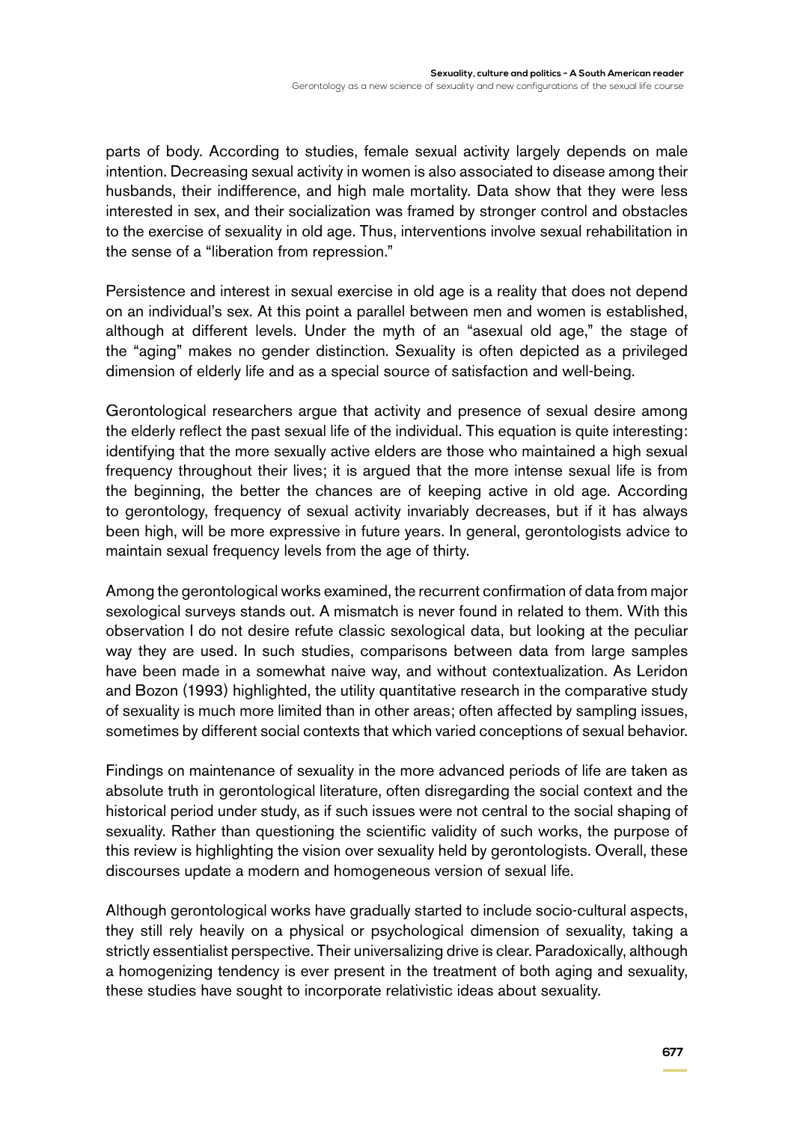parts of body. According to studies, female sexual activity largely depends on male intention. Decreasing sexual activity in women is also associated to disease among their husbands, their indifference, and high male mortality. Data show that they were less interested in sex, and their socialization was framed by stronger control and obstacles to the exercise of sexuality in old age. Thus, interventions involve sexual rehabilitation in the sense of a "liberation from repression."

Persistence and interest in sexual exercise in old age is a reality that does not depend on an individual's sex. At this point a parallel between men and women is established, although at different levels. Under the myth of an "asexual old age," the stage of the "aging" makes no gender distinction. Sexuality is often depicted as a privileged dimension of elderly life and as a special source of satisfaction and well-being.

Gerontological researchers argue that activity and presence of sexual desire among the elderly reflect the past sexual life of the individual. This equation is quite interesting: identifying that the more sexually active elders are those who maintained a high sexual frequency throughout their lives; it is argued that the more intense sexual life is from the beginning, the better the chances are of keeping active in old age. According to gerontology, frequency of sexual activity invariably decreases, but if it has always been high, will be more expressive in future years. In general, gerontologists advice to maintain sexual frequency levels from the age of thirty.

Among the gerontological works examined, the recurrent confirmation of data from major sexological surveys stands out. A mismatch is never found in related to them. With this observation I do not desire refute classic sexological data, but looking at the peculiar way they are used. In such studies, comparisons between data from large samples have been made in a somewhat naive way, and without contextualization. As Leridon and Bozon (1993) highlighted, the utility quantitative research in the comparative study of sexuality is much more limited than in other areas; often affected by sampling issues, sometimes by different social contexts that which varied conceptions of sexual behavior.

Findings on maintenance of sexuality in the more advanced periods of life are taken as absolute truth in gerontological literature, often disregarding the social context and the historical period under study, as if such issues were not central to the social shaping of sexuality. Rather than questioning the scientific validity of such works, the purpose of this review is highlighting the vision over sexuality held by gerontologists. Overall, these discourses update a modern and homogeneous version of sexual life.

Although gerontological works have gradually started to include socio-cultural aspects, they still rely heavily on a physical or psychological dimension of sexuality, taking a strictly essentialist perspective. Their universalizing drive is clear. Paradoxically, although a homogenizing tendency is ever present in the treatment of both aging and sexuality, these studies have sought to incorporate relativistic ideas about sexuality.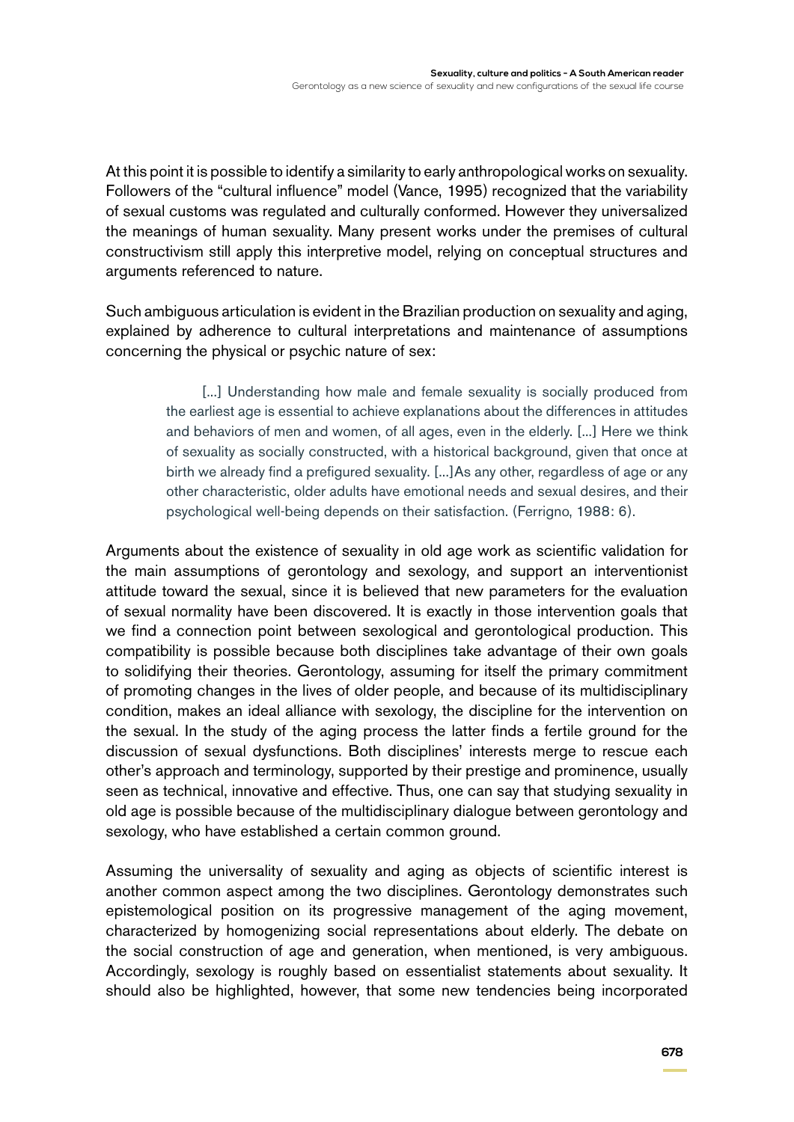At this point it is possible to identify a similarity to early anthropological works on sexuality. Followers of the "cultural influence" model (Vance, 1995) recognized that the variability of sexual customs was regulated and culturally conformed. However they universalized the meanings of human sexuality. Many present works under the premises of cultural constructivism still apply this interpretive model, relying on conceptual structures and arguments referenced to nature.

Such ambiguous articulation is evident in the Brazilian production on sexuality and aging, explained by adherence to cultural interpretations and maintenance of assumptions concerning the physical or psychic nature of sex:

> [...] Understanding how male and female sexuality is socially produced from the earliest age is essential to achieve explanations about the differences in attitudes and behaviors of men and women, of all ages, even in the elderly. [...] Here we think of sexuality as socially constructed, with a historical background, given that once at birth we already find a prefigured sexuality. [...]As any other, regardless of age or any other characteristic, older adults have emotional needs and sexual desires, and their psychological well-being depends on their satisfaction. (Ferrigno, 1988: 6).

Arguments about the existence of sexuality in old age work as scientific validation for the main assumptions of gerontology and sexology, and support an interventionist attitude toward the sexual, since it is believed that new parameters for the evaluation of sexual normality have been discovered. It is exactly in those intervention goals that we find a connection point between sexological and gerontological production. This compatibility is possible because both disciplines take advantage of their own goals to solidifying their theories. Gerontology, assuming for itself the primary commitment of promoting changes in the lives of older people, and because of its multidisciplinary condition, makes an ideal alliance with sexology, the discipline for the intervention on the sexual. In the study of the aging process the latter finds a fertile ground for the discussion of sexual dysfunctions. Both disciplines' interests merge to rescue each other's approach and terminology, supported by their prestige and prominence, usually seen as technical, innovative and effective. Thus, one can say that studying sexuality in old age is possible because of the multidisciplinary dialogue between gerontology and sexology, who have established a certain common ground.

Assuming the universality of sexuality and aging as objects of scientific interest is another common aspect among the two disciplines. Gerontology demonstrates such epistemological position on its progressive management of the aging movement, characterized by homogenizing social representations about elderly. The debate on the social construction of age and generation, when mentioned, is very ambiguous. Accordingly, sexology is roughly based on essentialist statements about sexuality. It should also be highlighted, however, that some new tendencies being incorporated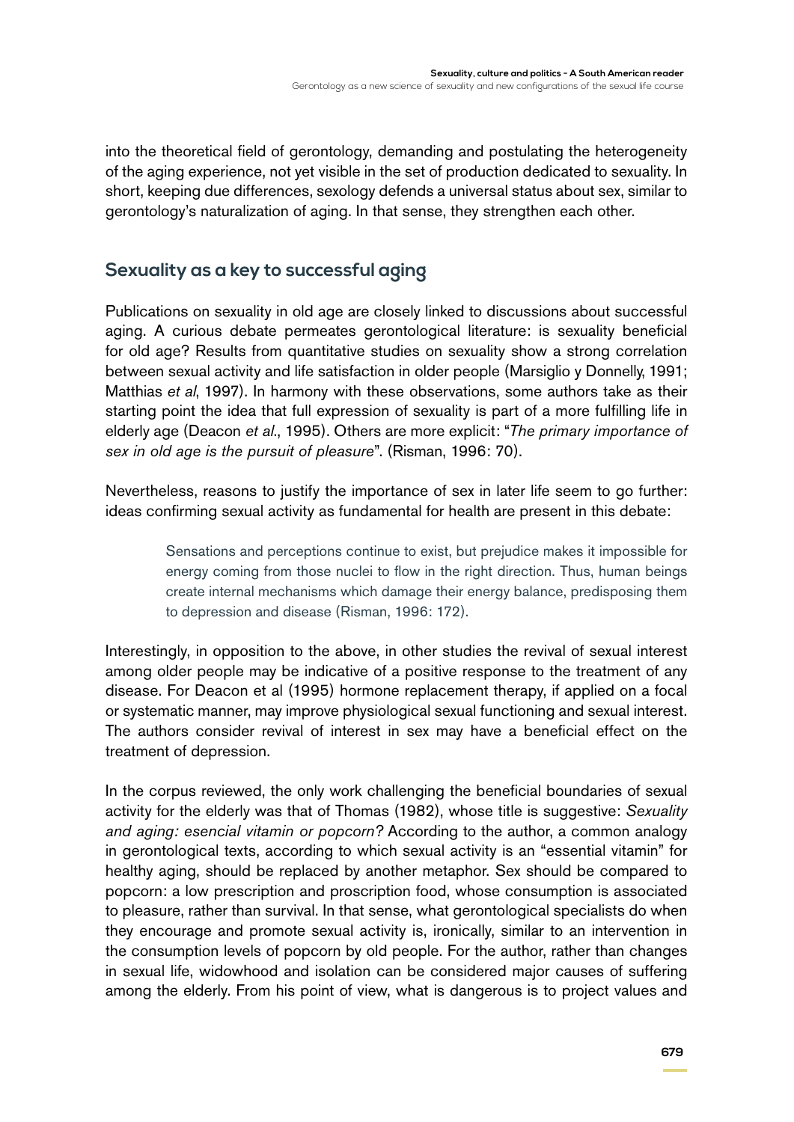into the theoretical field of gerontology, demanding and postulating the heterogeneity of the aging experience, not yet visible in the set of production dedicated to sexuality. In short, keeping due differences, sexology defends a universal status about sex, similar to gerontology's naturalization of aging. In that sense, they strengthen each other.

## **Sexuality as a key to successful aging**

Publications on sexuality in old age are closely linked to discussions about successful aging. A curious debate permeates gerontological literature: is sexuality beneficial for old age? Results from quantitative studies on sexuality show a strong correlation between sexual activity and life satisfaction in older people (Marsiglio y Donnelly, 1991; Matthias *et al*, 1997). In harmony with these observations, some authors take as their starting point the idea that full expression of sexuality is part of a more fulfilling life in elderly age (Deacon *et al*., 1995). Others are more explicit: "*The primary importance of sex in old age is the pursuit of pleasure*". (Risman, 1996: 70).

Nevertheless, reasons to justify the importance of sex in later life seem to go further: ideas confirming sexual activity as fundamental for health are present in this debate:

> Sensations and perceptions continue to exist, but prejudice makes it impossible for energy coming from those nuclei to flow in the right direction. Thus, human beings create internal mechanisms which damage their energy balance, predisposing them to depression and disease (Risman, 1996: 172).

Interestingly, in opposition to the above, in other studies the revival of sexual interest among older people may be indicative of a positive response to the treatment of any disease. For Deacon et al (1995) hormone replacement therapy, if applied on a focal or systematic manner, may improve physiological sexual functioning and sexual interest. The authors consider revival of interest in sex may have a beneficial effect on the treatment of depression.

In the corpus reviewed, the only work challenging the beneficial boundaries of sexual activity for the elderly was that of Thomas (1982), whose title is suggestive: *Sexuality and aging: esencial vitamin or popcorn?* According to the author, a common analogy in gerontological texts, according to which sexual activity is an "essential vitamin" for healthy aging, should be replaced by another metaphor. Sex should be compared to popcorn: a low prescription and proscription food, whose consumption is associated to pleasure, rather than survival. In that sense, what gerontological specialists do when they encourage and promote sexual activity is, ironically, similar to an intervention in the consumption levels of popcorn by old people. For the author, rather than changes in sexual life, widowhood and isolation can be considered major causes of suffering among the elderly. From his point of view, what is dangerous is to project values and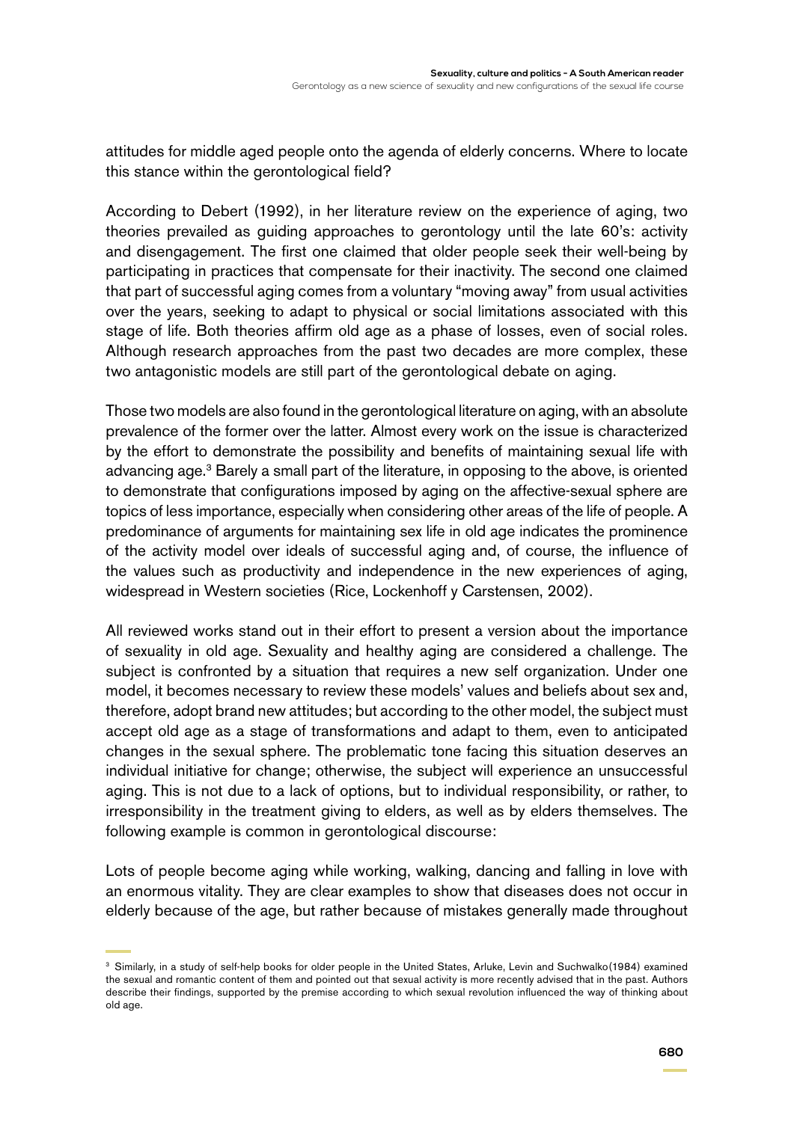attitudes for middle aged people onto the agenda of elderly concerns. Where to locate this stance within the gerontological field?

According to Debert (1992), in her literature review on the experience of aging, two theories prevailed as guiding approaches to gerontology until the late 60's: activity and disengagement. The first one claimed that older people seek their well-being by participating in practices that compensate for their inactivity. The second one claimed that part of successful aging comes from a voluntary "moving away" from usual activities over the years, seeking to adapt to physical or social limitations associated with this stage of life. Both theories affirm old age as a phase of losses, even of social roles. Although research approaches from the past two decades are more complex, these two antagonistic models are still part of the gerontological debate on aging.

Those two models are also found in the gerontological literature on aging, with an absolute prevalence of the former over the latter. Almost every work on the issue is characterized by the effort to demonstrate the possibility and benefits of maintaining sexual life with advancing age.<sup>3</sup> Barely a small part of the literature, in opposing to the above, is oriented to demonstrate that configurations imposed by aging on the affective-sexual sphere are topics of less importance, especially when considering other areas of the life of people. A predominance of arguments for maintaining sex life in old age indicates the prominence of the activity model over ideals of successful aging and, of course, the influence of the values such as productivity and independence in the new experiences of aging, widespread in Western societies (Rice, Lockenhoff y Carstensen, 2002).

All reviewed works stand out in their effort to present a version about the importance of sexuality in old age. Sexuality and healthy aging are considered a challenge. The subject is confronted by a situation that requires a new self organization. Under one model, it becomes necessary to review these models' values and beliefs about sex and, therefore, adopt brand new attitudes; but according to the other model, the subject must accept old age as a stage of transformations and adapt to them, even to anticipated changes in the sexual sphere. The problematic tone facing this situation deserves an individual initiative for change; otherwise, the subject will experience an unsuccessful aging. This is not due to a lack of options, but to individual responsibility, or rather, to irresponsibility in the treatment giving to elders, as well as by elders themselves. The following example is common in gerontological discourse:

Lots of people become aging while working, walking, dancing and falling in love with an enormous vitality. They are clear examples to show that diseases does not occur in elderly because of the age, but rather because of mistakes generally made throughout

<sup>&</sup>lt;sup>3</sup> Similarly, in a study of self-help books for older people in the United States, Arluke, Levin and Suchwalko(1984) examined the sexual and romantic content of them and pointed out that sexual activity is more recently advised that in the past. Authors describe their findings, supported by the premise according to which sexual revolution influenced the way of thinking about old age.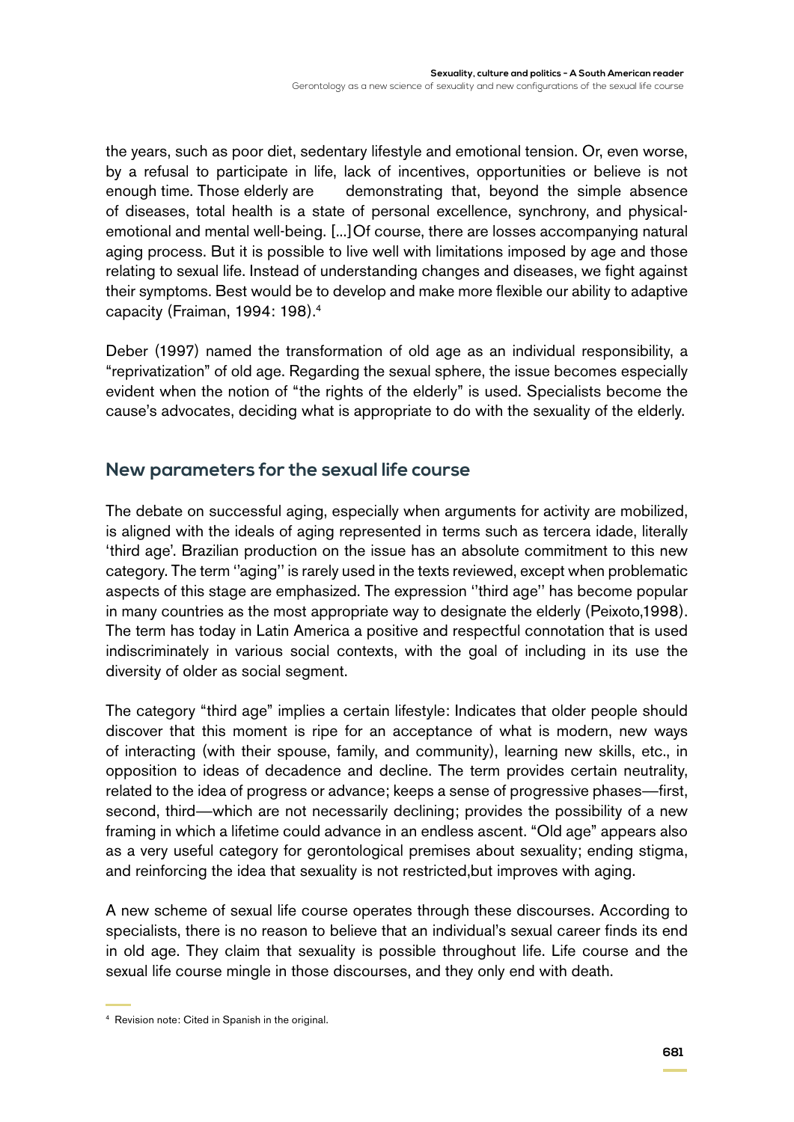the years, such as poor diet, sedentary lifestyle and emotional tension. Or, even worse, by a refusal to participate in life, lack of incentives, opportunities or believe is not enough time. Those elderly are demonstrating that, beyond the simple absence of diseases, total health is a state of personal excellence, synchrony, and physicalemotional and mental well-being. [...]Of course, there are losses accompanying natural aging process. But it is possible to live well with limitations imposed by age and those relating to sexual life. Instead of understanding changes and diseases, we fight against their symptoms. Best would be to develop and make more flexible our ability to adaptive capacity (Fraiman, 1994: 198).4

Deber (1997) named the transformation of old age as an individual responsibility, a "reprivatization" of old age. Regarding the sexual sphere, the issue becomes especially evident when the notion of "the rights of the elderly" is used. Specialists become the cause's advocates, deciding what is appropriate to do with the sexuality of the elderly.

#### **New parameters for the sexual life course**

The debate on successful aging, especially when arguments for activity are mobilized, is aligned with the ideals of aging represented in terms such as tercera idade, literally 'third age'. Brazilian production on the issue has an absolute commitment to this new category. The term ''aging'' is rarely used in the texts reviewed, except when problematic aspects of this stage are emphasized. The expression ''third age'' has become popular in many countries as the most appropriate way to designate the elderly (Peixoto,1998). The term has today in Latin America a positive and respectful connotation that is used indiscriminately in various social contexts, with the goal of including in its use the diversity of older as social segment.

The category "third age" implies a certain lifestyle: Indicates that older people should discover that this moment is ripe for an acceptance of what is modern, new ways of interacting (with their spouse, family, and community), learning new skills, etc., in opposition to ideas of decadence and decline. The term provides certain neutrality, related to the idea of progress or advance; keeps a sense of progressive phases—first, second, third—which are not necessarily declining; provides the possibility of a new framing in which a lifetime could advance in an endless ascent. "Old age" appears also as a very useful category for gerontological premises about sexuality; ending stigma, and reinforcing the idea that sexuality is not restricted,but improves with aging.

A new scheme of sexual life course operates through these discourses. According to specialists, there is no reason to believe that an individual's sexual career finds its end in old age. They claim that sexuality is possible throughout life. Life course and the sexual life course mingle in those discourses, and they only end with death.

<sup>4</sup> Revision note: Cited in Spanish in the original.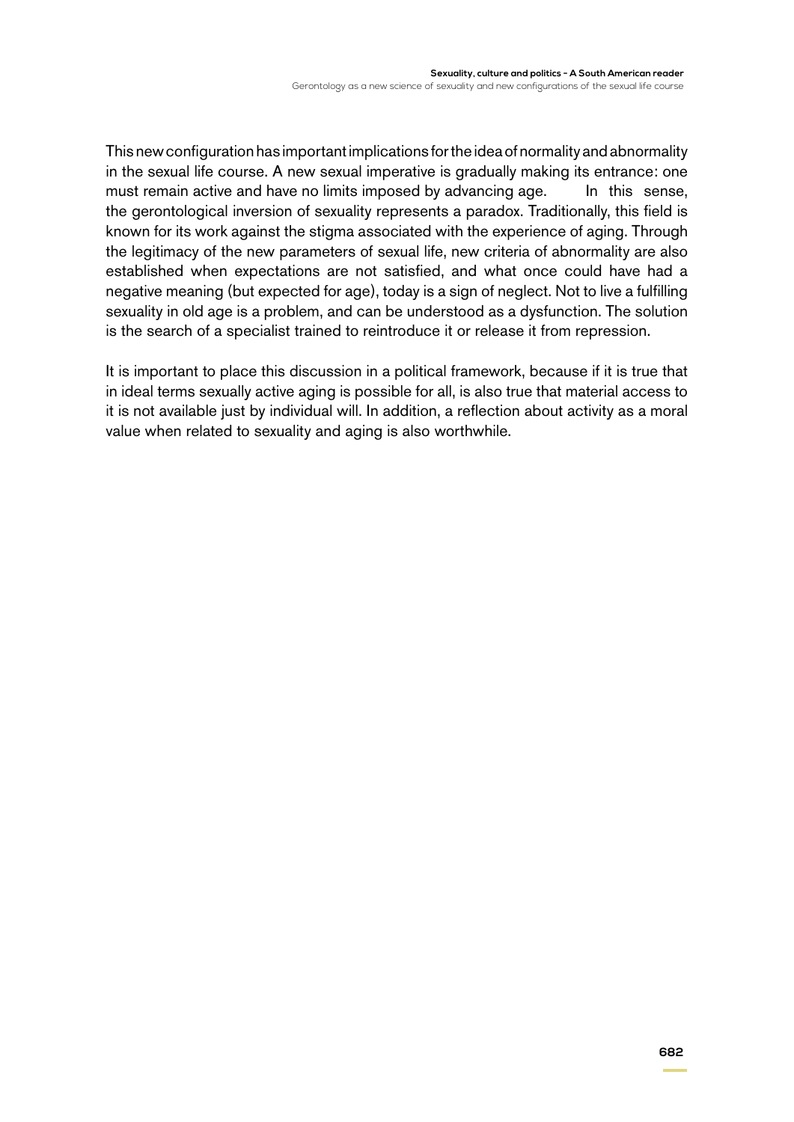This new configuration has important implications for the idea of normality and abnormality in the sexual life course. A new sexual imperative is gradually making its entrance: one must remain active and have no limits imposed by advancing age. In this sense, the gerontological inversion of sexuality represents a paradox. Traditionally, this field is known for its work against the stigma associated with the experience of aging. Through the legitimacy of the new parameters of sexual life, new criteria of abnormality are also established when expectations are not satisfied, and what once could have had a negative meaning (but expected for age), today is a sign of neglect. Not to live a fulfilling sexuality in old age is a problem, and can be understood as a dysfunction. The solution is the search of a specialist trained to reintroduce it or release it from repression.

It is important to place this discussion in a political framework, because if it is true that in ideal terms sexually active aging is possible for all, is also true that material access to it is not available just by individual will. In addition, a reflection about activity as a moral value when related to sexuality and aging is also worthwhile.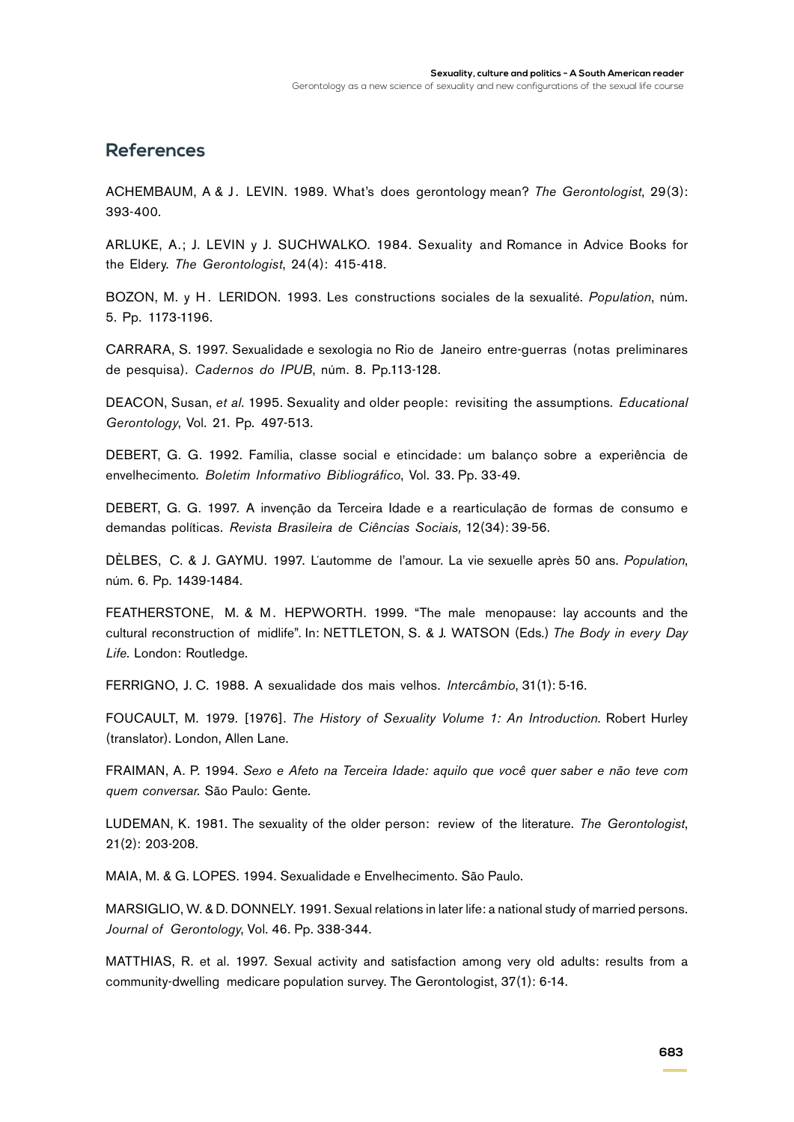#### **References**

Achembaum, A & J . Levin. 1989. What's does gerontology mean? *The Gerontologist*, 29(3): 393-400.

Arluke, A.; J. Levin y J. Suchwalko. 1984. Sexuality and Romance in Advice Books for the Eldery. *The Gerontologist*, 24(4): 415-418.

BOZON, M. y H. LERIDON. 1993. Les constructions sociales de la sexualité. *Population*, núm. 5. Pp. 1173-1196.

CARRARA, S. 1997. Sexualidade e sexologia no Rio de Janeiro entre-guerras (notas preliminares de pesquisa). *Cadernos do IPUB*, núm. 8. Pp.113-128.

Deacon, Susan, *et al*. 1995. Sexuality and older people: revisiting the assumptions. *Educational Gerontology*, Vol. 21. Pp. 497-513.

Debert, G. G. 1992. Família, classe social e etincidade: um balanço sobre a experiência de envelhecimento. *Boletim Informativo Bibliográfico*, Vol. 33. Pp. 33-49.

Debert, G. G. 1997. A invenção da Terceira Idade e a rearticulação de formas de consumo e demandas políticas. *Revista Brasileira de Ciências Sociais,* 12(34): 39-56.

DÈLBES, C. & J. GAYMU. 1997. L'automme de l'amour. La vie sexuelle après 50 ans. Population, núm. 6. Pp. 1439-1484.

FEATHERSTONE, M. & M. HEPWORTH. 1999. "The male menopause: lay accounts and the cultural reconstruction of midlife". In: NETTLETON, S. & J. WATSON (Eds.) The Body in every Day *Life*. London: Routledge.

Ferrigno, J. C. 1988. A sexualidade dos mais velhos. *Intercâmbio*, 31(1): 5-16.

Foucault, M. 1979. [1976]. *The History of Sexuality Volume 1: An Introduction*. Robert Hurley (translator). London, Allen Lane.

Fraiman, A. P. 1994. *Sexo e Afeto na Terceira Idade: aquilo que você quer saber e não teve com quem conversar.* São Paulo: Gente.

LUDEMAN, K. 1981. The sexuality of the older person: review of the literature. *The Gerontologist*, 21(2): 203-208.

Maia, M. & G. LOPES. 1994. Sexualidade e Envelhecimento. São Paulo.

MARSIGLIO, W. & D. DONNELY. 1991. Sexual relations in later life: a national study of married persons. *Journal of Gerontology*, Vol. 46. Pp. 338-344.

MATTHIAS, R. et al. 1997. Sexual activity and satisfaction among very old adults: results from a community-dwelling medicare population survey. The Gerontologist, 37(1): 6-14.